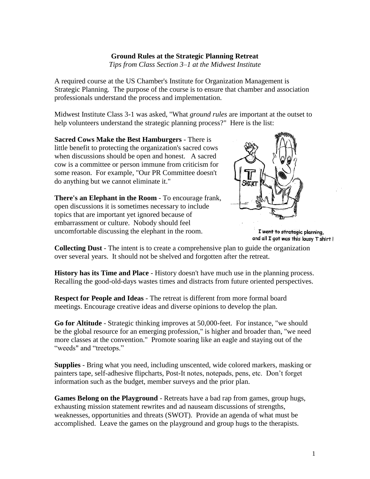## **Ground Rules at the Strategic Planning Retreat**

*Tips from Class Section 3–1 at the Midwest Institute*

A required course at the US Chamber's Institute for Organization Management is Strategic Planning. The purpose of the course is to ensure that chamber and association professionals understand the process and implementation.

Midwest Institute Class 3-1 was asked, "What *ground rules* are important at the outset to help volunteers understand the strategic planning process?" Here is the list:

**Sacred Cows Make the Best Hamburgers** - There is little benefit to protecting the organization's sacred cows when discussions should be open and honest. A sacred cow is a committee or person immune from criticism for some reason. For example, "Our PR Committee doesn't do anything but we cannot eliminate it."

**There's an Elephant in the Room** - To encourage frank, open discussions it is sometimes necessary to include topics that are important yet ignored because of embarrassment or culture. Nobody should feel uncomfortable discussing the elephant in the room.



I went to strategic planning, and all I got was this lousy T shirt!

**Collecting Dust** - The intent is to create a comprehensive plan to guide the organization over several years. It should not be shelved and forgotten after the retreat.

**History has its Time and Place** - History doesn't have much use in the planning process. Recalling the good-old-days wastes times and distracts from future oriented perspectives.

**Respect for People and Ideas** - The retreat is different from more formal board meetings. Encourage creative ideas and diverse opinions to develop the plan.

**Go for Altitude** - Strategic thinking improves at 50,000-feet. For instance, "we should be the global resource for an emerging profession," is higher and broader than, "we need more classes at the convention." Promote soaring like an eagle and staying out of the "weeds" and "treetops."

**Supplies** - Bring what you need, including unscented, wide colored markers, masking or painters tape, self-adhesive flipcharts, Post-It notes, notepads, pens, etc. Don't forget information such as the budget, member surveys and the prior plan.

**Games Belong on the Playground** - Retreats have a bad rap from games, group hugs, exhausting mission statement rewrites and ad nauseam discussions of strengths, weaknesses, opportunities and threats (SWOT). Provide an agenda of what must be accomplished. Leave the games on the playground and group hugs to the therapists.